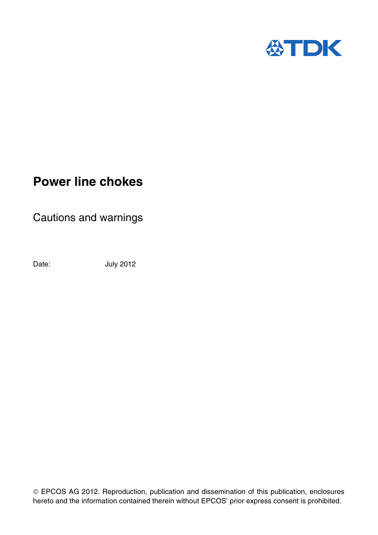

## **Power line chokes**

Cautions and warnings

Date: **July 2012** 

EPCOS AG 2012. Reproduction, publication and dissemination of this publication, enclosures hereto and the information contained therein without EPCOS' prior express consent is prohibited.